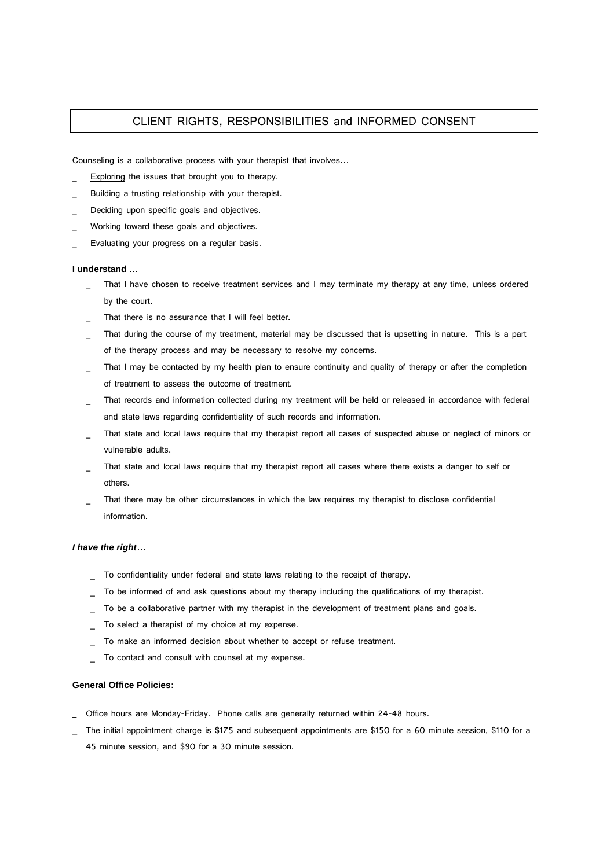## CLIENT RIGHTS, RESPONSIBILITIES and INFORMED CONSENT

Counseling is a collaborative process with your therapist that involves…

- Exploring the issues that brought you to therapy.
- Building a trusting relationship with your therapist.
- Deciding upon specific goals and objectives.
- Working toward these goals and objectives.
- Evaluating your progress on a regular basis.

## **I understand** …

- That I have chosen to receive treatment services and I may terminate my therapy at any time, unless ordered by the court.
- That there is no assurance that I will feel better.
- That during the course of my treatment, material may be discussed that is upsetting in nature. This is a part of the therapy process and may be necessary to resolve my concerns.
- That I may be contacted by my health plan to ensure continuity and quality of therapy or after the completion of treatment to assess the outcome of treatment.
- That records and information collected during my treatment will be held or released in accordance with federal and state laws regarding confidentiality of such records and information.
- That state and local laws require that my therapist report all cases of suspected abuse or neglect of minors or vulnerable adults.
- That state and local laws require that my therapist report all cases where there exists a danger to self or others.
- That there may be other circumstances in which the law requires my therapist to disclose confidential information.

## **I have the right**…

- To confidentiality under federal and state laws relating to the receipt of therapy.
- To be informed of and ask questions about my therapy including the qualifications of my therapist.
- To be a collaborative partner with my therapist in the development of treatment plans and goals.
- To select a therapist of my choice at my expense.
- To make an informed decision about whether to accept or refuse treatment.
- To contact and consult with counsel at my expense.

## **General Office Policies:**

- Office hours are Monday-Friday. Phone calls are generally returned within 24-48 hours.
- The initial appointment charge is \$175 and subsequent appointments are \$150 for a 60 minute session, \$110 for a 45 minute session, and \$90 for a 30 minute session.